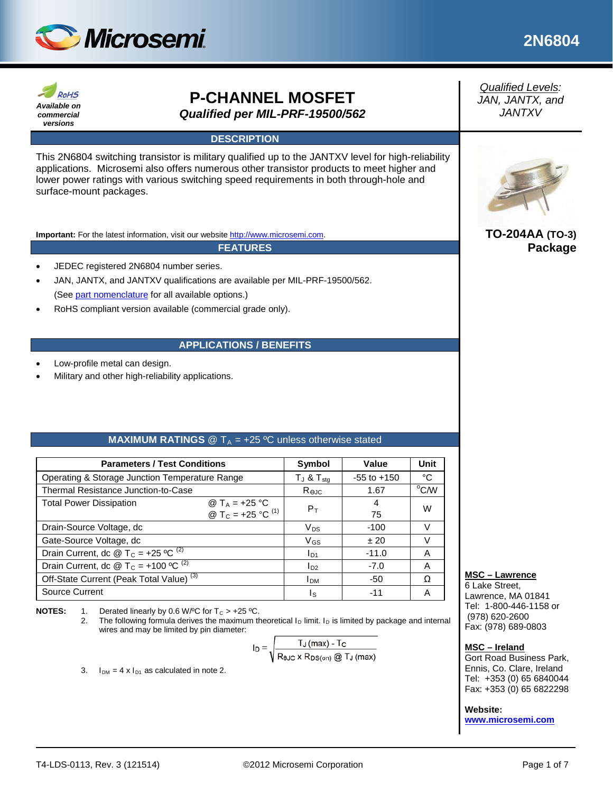



# **P-CHANNEL MOSFET** *Qualified per MIL-PRF-19500/562*

### **DESCRIPTION**

This 2N6804 switching transistor is military qualified up to the JANTXV level for high-reliability applications. Microsemi also offers numerous other transistor products to meet higher and lower power ratings with various switching speed requirements in both through-hole and surface-mount packages.

**Important:** For the latest information, visit our website [http://www.microsemi.com.](http://www.microsemi.com/)

**FEATURES**

- JEDEC registered 2N6804 number series.
- JAN, JANTX, and JANTXV qualifications are available per MIL-PRF-19500/562. (Se[e part nomenclature](#page-1-0) for all available options.)
- RoHS compliant version available (commercial grade only).

### **APPLICATIONS / BENEFITS**

- Low-profile metal can design.
- Military and other high-reliability applications.

### **MAXIMUM RATINGS**  $\textcircled{2}$  T<sub>A</sub> = +25 °C unless otherwise stated

| <b>Parameters / Test Conditions</b>                                                                     | Symbol                 | Value           | <b>Unit</b>    |
|---------------------------------------------------------------------------------------------------------|------------------------|-----------------|----------------|
| Operating & Storage Junction Temperature Range                                                          | $T_J$ & $T_{sta}$      | $-55$ to $+150$ | °C             |
| Thermal Resistance Junction-to-Case                                                                     | Rejc                   | 1.67            | $^{\circ}$ C/W |
| @ T <sub>A</sub> = +25 °C<br><b>Total Power Dissipation</b><br>@ T <sub>C</sub> = +25 °C <sup>(1)</sup> | $P_T$                  | 4<br>75         | W              |
| Drain-Source Voltage, dc                                                                                | $V_{DS}$               | $-100$          | V              |
| Gate-Source Voltage, dc                                                                                 | $V$ <sub>GS</sub>      | ±20             | V              |
| Drain Current, dc @ T <sub>C</sub> = +25 °C <sup>(2)</sup>                                              | $I_{D1}$               | $-11.0$         | A              |
| Drain Current, dc @ T <sub>C</sub> = +100 °C <sup>(2)</sup>                                             | $I_{D2}$               | $-7.0$          | A              |
| Off-State Current (Peak Total Value) <sup>(3)</sup>                                                     | <b>I</b> <sub>DM</sub> | -50             | Ω              |
| Source Current                                                                                          | Is                     | -11             | Α              |

**NOTES:** 1. Derated linearly by 0.6 W/<sup>o</sup>C for  $T_c > +25$  °C.<br>2. The following formula derives the maximum the

The following formula derives the maximum theoretical  $I_D$  limit.  $I_D$  is limited by package and internal wires and may be limited by pin diameter:

$$
I_D = \sqrt{\frac{T_J \, (max) - T_C}{R_{\theta JC} \times R_{DS(on)} \, \textcircled{1}_J \, (max)}}
$$

3.  $I_{DM} = 4 \times I_{D1}$  as calculated in note 2.

*Qualified Levels: JAN, JANTX, and JANTXV*



**TO-204AA (TO-3) Package**

### **MSC – Lawrence**

6 Lake Street, Lawrence, MA 01841 Tel: 1-800-446-1158 or (978) 620-2600 Fax: (978) 689-0803

#### **MSC – Ireland**

Gort Road Business Park, Ennis, Co. Clare, Ireland Tel: +353 (0) 65 6840044 Fax: +353 (0) 65 6822298

#### **Website:**

**[www.microsemi.com](http://www.microsemi.com/)**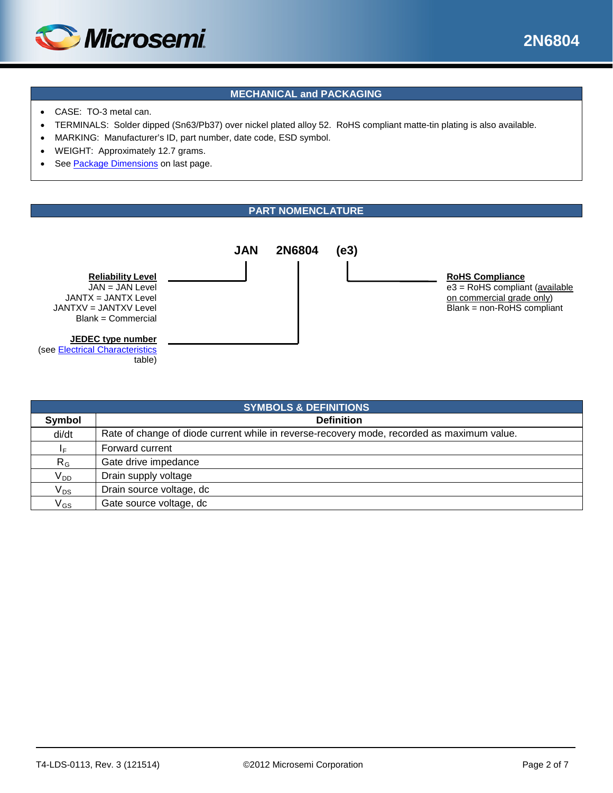

## **MECHANICAL and PACKAGING**

- CASE: TO-3 metal can.
- TERMINALS: Solder dipped (Sn63/Pb37) over nickel plated alloy 52. RoHS compliant matte-tin plating is also available.
- MARKING: Manufacturer's ID, part number, date code, ESD symbol.
- WEIGHT: Approximately 12.7 grams.
- See [Package Dimensions](#page-6-0) on last page.

### **PART NOMENCLATURE**

<span id="page-1-0"></span>

| <b>SYMBOLS &amp; DEFINITIONS</b> |                                                                                            |  |  |  |
|----------------------------------|--------------------------------------------------------------------------------------------|--|--|--|
| Symbol                           | <b>Definition</b>                                                                          |  |  |  |
| di/dt                            | Rate of change of diode current while in reverse-recovery mode, recorded as maximum value. |  |  |  |
| ΙF                               | Forward current                                                                            |  |  |  |
| $R_G$                            | Gate drive impedance                                                                       |  |  |  |
| V <sub>DD</sub>                  | Drain supply voltage                                                                       |  |  |  |
| $\mathsf{V}_{\mathsf{DS}}$       | Drain source voltage, dc                                                                   |  |  |  |
| $\mathsf{V}_{\mathsf{GS}}$       | Gate source voltage, dc                                                                    |  |  |  |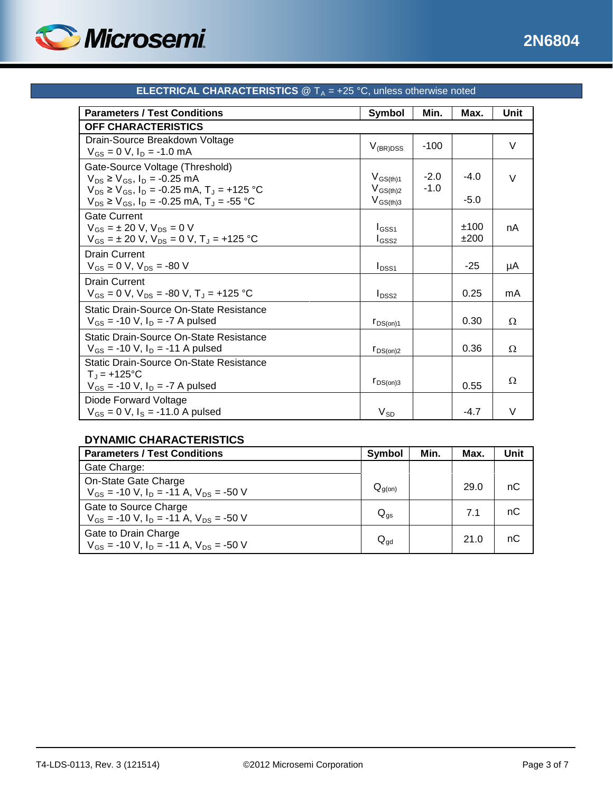

<span id="page-2-0"></span>

| <b>Parameters / Test Conditions</b>                                                                                                  | Symbol                          | Min.             | Max.         | Unit   |
|--------------------------------------------------------------------------------------------------------------------------------------|---------------------------------|------------------|--------------|--------|
| <b>OFF CHARACTERISTICS</b>                                                                                                           |                                 |                  |              |        |
| Drain-Source Breakdown Voltage<br>$V_{GS} = 0 V$ , $I_D = -1.0$ mA                                                                   | $V_{(BR)DSS}$                   | $-100$           |              | V      |
| Gate-Source Voltage (Threshold)<br>$V_{DS} \ge V_{GS}$ , $I_D = -0.25$ mA<br>$V_{DS} \ge V_{GS}$ , $I_D = -0.25$ mA, $T_J = +125$ °C | $V_{GS(th)1}$<br>$V_{GS(th)2}$  | $-2.0$<br>$-1.0$ | $-4.0$       | V      |
| $V_{DS} \ge V_{GS}$ , $I_D = -0.25$ mA, $T_J = -55$ °C                                                                               | $V_{GS(th)3}$                   |                  | $-5.0$       |        |
| Gate Current<br>$V_{GS}$ = ± 20 V, $V_{DS}$ = 0 V<br>$V_{GS} = \pm 20$ V, $V_{DS} = 0$ V, $T_J = +125$ °C                            | $I_{GSS1}$<br>I <sub>GSS2</sub> |                  | ±100<br>±200 | nA     |
| <b>Drain Current</b><br>$V_{GS} = 0 V$ , $V_{DS} = -80 V$                                                                            | $I_{DSS1}$                      |                  | $-25$        | μA     |
| <b>Drain Current</b><br>$V_{GS} = 0$ V, $V_{DS} = -80$ V, $T_{J} = +125$ °C                                                          | $I_{DSS2}$                      |                  | 0.25         | mA     |
| Static Drain-Source On-State Resistance<br>$V_{GS}$ = -10 V, $I_D$ = -7 A pulsed                                                     | $r_{DS(on)1}$                   |                  | 0.30         | Ω      |
| Static Drain-Source On-State Resistance<br>$V_{GS}$ = -10 V, $I_D$ = -11 A pulsed                                                    | $r_{DS(on)2}$                   |                  | 0.36         | Ω      |
| Static Drain-Source On-State Resistance<br>$T_{J}$ = +125°C<br>$V_{GS}$ = -10 V, $I_D$ = -7 A pulsed                                 | $r_{DS(on)3}$                   |                  | 0.55         | Ω      |
| Diode Forward Voltage<br>$V_{GS} = 0 V$ , $I_S = -11.0 A pulsed$                                                                     | $V_{SD}$                        |                  | $-4.7$       | $\vee$ |

# **ELECTRICAL CHARACTERISTICS**  $@T_A = +25 °C$ , unless otherwise noted

## **DYNAMIC CHARACTERISTICS**

| <b>Parameters / Test Conditions</b>                                                        | Symbol                     | Min. | Max. | <b>Unit</b> |
|--------------------------------------------------------------------------------------------|----------------------------|------|------|-------------|
| Gate Charge:                                                                               |                            |      |      |             |
| On-State Gate Charge<br>$V_{GS}$ = -10 V, I <sub>D</sub> = -11 A, V <sub>DS</sub> = -50 V  | $Q_{g(0n)}$                |      | 29.0 | nС          |
| Gate to Source Charge<br>$V_{GS}$ = -10 V, I <sub>D</sub> = -11 A, V <sub>DS</sub> = -50 V | $Q_{gs}$                   |      | 7.1  | nС          |
| Gate to Drain Charge<br>$V_{GS}$ = -10 V, I <sub>D</sub> = -11 A, V <sub>DS</sub> = -50 V  | $\mathsf{Q}_{\mathsf{qd}}$ |      | 21.0 | nС          |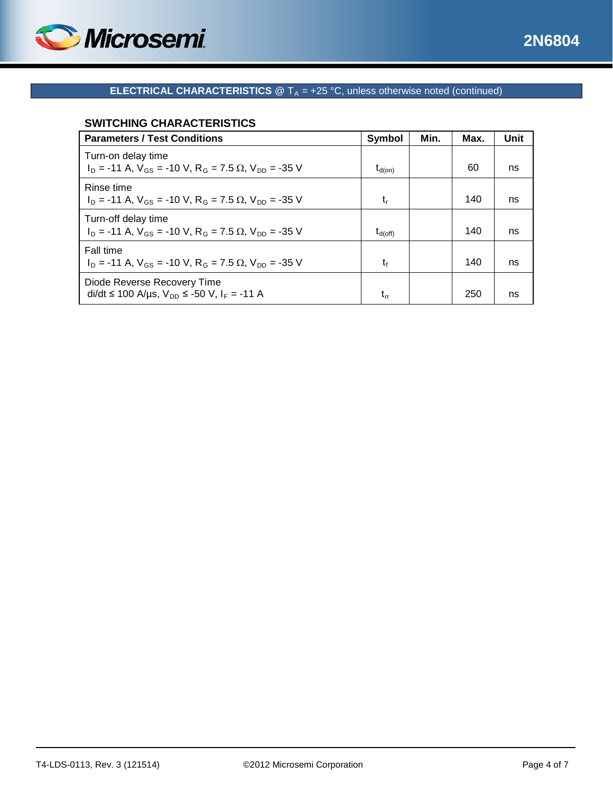



# **ELECTRICAL CHARACTERISTICS**  $@T_A = +25 °C$ , unless otherwise noted (continued)

# **SWITCHING CHARACTERISTICS**

| <b>Parameters / Test Conditions</b>                                                                             | Symbol              | Min. | Max. | Unit |
|-----------------------------------------------------------------------------------------------------------------|---------------------|------|------|------|
| Turn-on delay time<br>$I_D$ = -11 A, $V_{GS}$ = -10 V, R <sub>G</sub> = 7.5 $\Omega$ , V <sub>DD</sub> = -35 V  | $t_{d(on)}$         |      | 60   | ns   |
| Rinse time<br>$I_D$ = -11 A, $V_{GS}$ = -10 V, R <sub>G</sub> = 7.5 $\Omega$ , V <sub>DD</sub> = -35 V          | $t_{r}$             |      | 140  | ns   |
| Turn-off delay time<br>$I_D$ = -11 A, $V_{GS}$ = -10 V, R <sub>G</sub> = 7.5 $\Omega$ , V <sub>DD</sub> = -35 V | $t_{\text{d(off)}}$ |      | 140  | ns   |
| Fall time<br>$I_D$ = -11 A, $V_{GS}$ = -10 V, R <sub>G</sub> = 7.5 $\Omega$ , V <sub>DD</sub> = -35 V           | t,                  |      | 140  | ns   |
| Diode Reverse Recovery Time<br>di/dt ≤ 100 A/µs, $V_{DD}$ ≤ -50 V, I <sub>F</sub> = -11 A                       | t,,                 |      | 250  | ns   |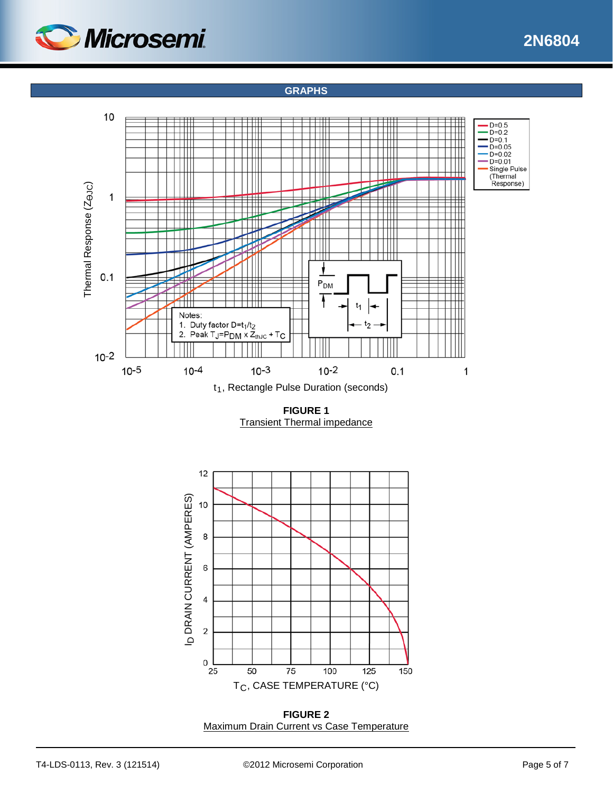

## **GRAPHS**



**FIGURE 1** Transient Thermal impedance



**FIGURE 2** Maximum Drain Current vs Case Temperature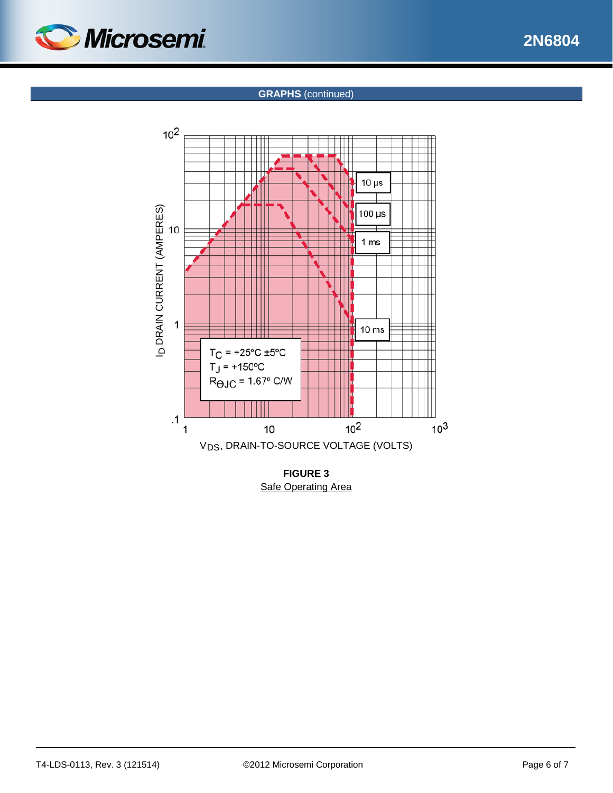

### **GRAPHS** (continued)



**Safe Operating Area**